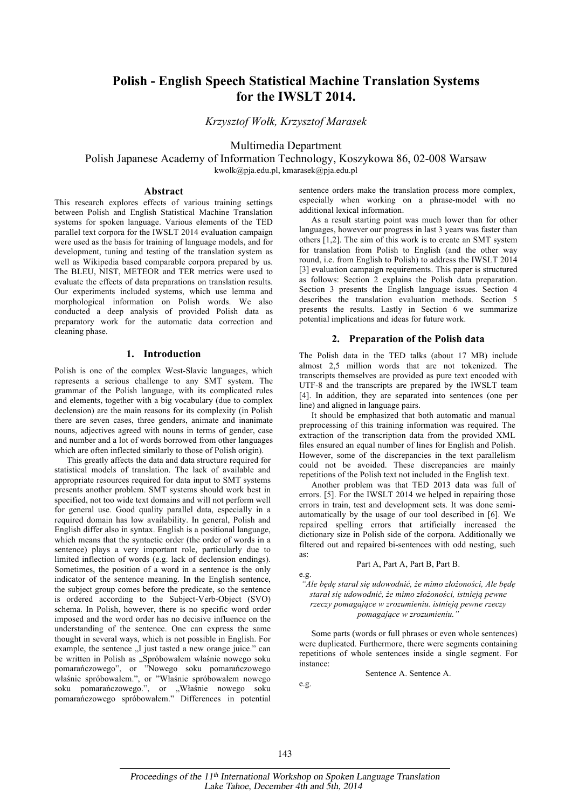# **Polish - English Speech Statistical Machine Translation Systems for the IWSLT 2014.**

*Krzysztof Wołk, Krzysztof Marasek* 

Multimedia Department

Polish Japanese Academy of Information Technology, Koszykowa 86, 02-008 Warsaw kwolk@pja.edu.pl, kmarasek@pja.edu.pl

#### **Abstract**

This research explores effects of various training settings between Polish and English Statistical Machine Translation systems for spoken language. Various elements of the TED parallel text corpora for the IWSLT 2014 evaluation campaign were used as the basis for training of language models, and for development, tuning and testing of the translation system as well as Wikipedia based comparable corpora prepared by us. The BLEU, NIST, METEOR and TER metrics were used to evaluate the effects of data preparations on translation results. Our experiments included systems, which use lemma and morphological information on Polish words. We also conducted a deep analysis of provided Polish data as preparatory work for the automatic data correction and cleaning phase.

# **1. Introduction**

Polish is one of the complex West-Slavic languages, which represents a serious challenge to any SMT system. The grammar of the Polish language, with its complicated rules and elements, together with a big vocabulary (due to complex declension) are the main reasons for its complexity (in Polish there are seven cases, three genders, animate and inanimate nouns, adjectives agreed with nouns in terms of gender, case and number and a lot of words borrowed from other languages which are often inflected similarly to those of Polish origin).

This greatly affects the data and data structure required for statistical models of translation. The lack of available and appropriate resources required for data input to SMT systems presents another problem. SMT systems should work best in specified, not too wide text domains and will not perform well for general use. Good quality parallel data, especially in a required domain has low availability. In general, Polish and English differ also in syntax. English is a positional language, which means that the syntactic order (the order of words in a sentence) plays a very important role, particularly due to limited inflection of words (e.g. lack of declension endings). Sometimes, the position of a word in a sentence is the only indicator of the sentence meaning. In the English sentence, the subject group comes before the predicate, so the sentence is ordered according to the Subject-Verb-Object (SVO) schema. In Polish, however, there is no specific word order imposed and the word order has no decisive influence on the understanding of the sentence. One can express the same thought in several ways, which is not possible in English. For example, the sentence ...I just tasted a new orange juice." can be written in Polish as "Spróbowałem właśnie nowego soku pomarańczowego", or "Nowego soku pomarańczowego właśnie spróbowałem.", or "Właśnie spróbowałem nowego soku pomarańczowego.", or "Właśnie nowego soku pomarańczowego spróbowałem." Differences in potential

sentence orders make the translation process more complex, especially when working on a phrase-model with no additional lexical information.

As a result starting point was much lower than for other languages, however our progress in last 3 years was faster than others [1,2]. The aim of this work is to create an SMT system for translation from Polish to English (and the other way round, i.e. from English to Polish) to address the IWSLT 2014 [3] evaluation campaign requirements. This paper is structured as follows: Section 2 explains the Polish data preparation. Section 3 presents the English language issues. Section 4 describes the translation evaluation methods. Section 5 presents the results. Lastly in Section 6 we summarize potential implications and ideas for future work.

#### **2. Preparation of the Polish data**

The Polish data in the TED talks (about 17 MB) include almost 2,5 million words that are not tokenized. The transcripts themselves are provided as pure text encoded with UTF-8 and the transcripts are prepared by the IWSLT team [4]. In addition, they are separated into sentences (one per line) and aligned in language pairs.

It should be emphasized that both automatic and manual preprocessing of this training information was required. The extraction of the transcription data from the provided XML files ensured an equal number of lines for English and Polish. However, some of the discrepancies in the text parallelism could not be avoided. These discrepancies are mainly repetitions of the Polish text not included in the English text.

Another problem was that TED 2013 data was full of errors. [5]. For the IWSLT 2014 we helped in repairing those errors in train, test and development sets. It was done semiautomatically by the usage of our tool described in [6]. We repaired spelling errors that artificially increased the dictionary size in Polish side of the corpora. Additionally we filtered out and repaired bi-sentences with odd nesting, such as:

#### Part A, Part A, Part B, Part B.

e.g.

"Ale będę starał się udowodnić, że mimo złożoności, Ale będę *starał się udowodnić, że mimo złożoności, istnieją pewne rzeczy pomagające w zrozumieniu. istnieją pewne rzeczy pomagające w zrozumieniu."*

Some parts (words or full phrases or even whole sentences) were duplicated. Furthermore, there were segments containing repetitions of whole sentences inside a single segment. For instance:

Sentence A. Sentence A.

e.g.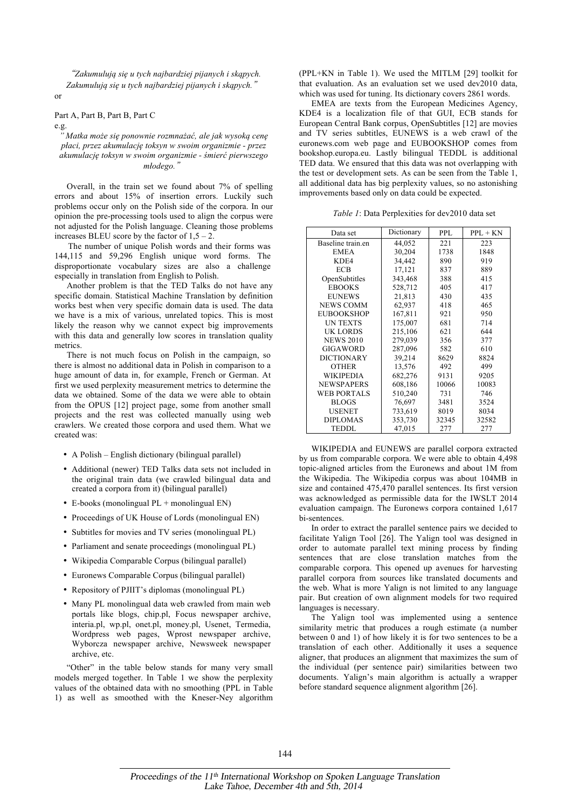͆*Zakumulują się u tych najbardziej pijanych i skąpych. Zakumulują się u tych najbardziej pijanych i skąpych.*͇ or

# Part A, Part B, Part B, Part C

e.g.

*" Matka może się ponownie rozmnażać, ale jak wysoką cenę płaci, przez akumulację toksyn w swoim organizmie - przez akumulację toksyn w swoim organizmie - śmierć pierwszego młodego.*͇

Overall, in the train set we found about 7% of spelling errors and about 15% of insertion errors. Luckily such problems occur only on the Polish side of the corpora. In our opinion the pre-processing tools used to align the corpus were not adjusted for the Polish language. Cleaning those problems increases BLEU score by the factor of  $1,5 - 2$ .

The number of unique Polish words and their forms was 144,115 and 59,296 English unique word forms. The disproportionate vocabulary sizes are also a challenge especially in translation from English to Polish.

Another problem is that the TED Talks do not have any specific domain. Statistical Machine Translation by definition works best when very specific domain data is used. The data we have is a mix of various, unrelated topics. This is most likely the reason why we cannot expect big improvements with this data and generally low scores in translation quality metrics.

There is not much focus on Polish in the campaign, so there is almost no additional data in Polish in comparison to a huge amount of data in, for example, French or German. At first we used perplexity measurement metrics to determine the data we obtained. Some of the data we were able to obtain from the OPUS [12] project page, some from another small projects and the rest was collected manually using web crawlers. We created those corpora and used them. What we created was:

- A Polish English dictionary (bilingual parallel)
- Additional (newer) TED Talks data sets not included in the original train data (we crawled bilingual data and created a corpora from it) (bilingual parallel)
- E-books (monolingual PL + monolingual EN)
- Proceedings of UK House of Lords (monolingual EN)
- Subtitles for movies and TV series (monolingual PL)
- Parliament and senate proceedings (monolingual PL)
- Wikipedia Comparable Corpus (bilingual parallel)
- Euronews Comparable Corpus (bilingual parallel)
- Repository of PJIIT's diplomas (monolingual PL)
- Many PL monolingual data web crawled from main web portals like blogs, chip.pl, Focus newspaper archive, interia.pl, wp.pl, onet.pl, money.pl, Usenet, Termedia, Wordpress web pages, Wprost newspaper archive, Wyborcza newspaper archive, Newsweek newspaper archive, etc.

"Other" in the table below stands for many very small models merged together. In Table 1 we show the perplexity values of the obtained data with no smoothing (PPL in Table 1) as well as smoothed with the Kneser-Ney algorithm (PPL+KN in Table 1). We used the MITLM [29] toolkit for that evaluation. As an evaluation set we used dev2010 data, which was used for tuning. Its dictionary covers 2861 words.

EMEA are texts from the European Medicines Agency, KDE4 is a localization file of that GUI, ECB stands for European Central Bank corpus, OpenSubtitles [12] are movies and TV series subtitles, EUNEWS is a web crawl of the euronews.com web page and EUBOOKSHOP comes from bookshop.europa.eu. Lastly bilingual TEDDL is additional TED data. We ensured that this data was not overlapping with the test or development sets. As can be seen from the Table 1, all additional data has big perplexity values, so no astonishing improvements based only on data could be expected.

*Table 1*: Data Perplexities for dev2010 data set

| Data set           | Dictionary | <b>PPL</b> | $PPL + KN$ |
|--------------------|------------|------------|------------|
| Baseline train.en  | 44,052     | 221        | 223        |
| <b>EMEA</b>        | 30,204     | 1738       | 1848       |
| KDE4               | 34,442     | 890        | 919        |
| <b>ECB</b>         | 17,121     | 837        | 889        |
| OpenSubtitles      | 343,468    | 388        | 415        |
| <b>EBOOKS</b>      | 528,712    | 405        | 417        |
| <b>EUNEWS</b>      | 21,813     | 430        | 435        |
| <b>NEWS COMM</b>   | 62,937     | 418        | 465        |
| <b>EUBOOKSHOP</b>  | 167,811    | 921        | 950        |
| <b>UN TEXTS</b>    | 175,007    | 681        | 714        |
| <b>UK LORDS</b>    | 215,106    | 621        | 644        |
| <b>NEWS 2010</b>   | 279,039    | 356        | 377        |
| <b>GIGAWORD</b>    | 287,096    | 582        | 610        |
| <b>DICTIONARY</b>  | 39,214     | 8629       | 8824       |
| <b>OTHER</b>       | 13,576     | 492        | 499        |
| <b>WIKIPEDIA</b>   | 682,276    | 9131       | 9205       |
| <b>NEWSPAPERS</b>  | 608,186    | 10066      | 10083      |
| <b>WEB PORTALS</b> | 510,240    | 731        | 746        |
| <b>BLOGS</b>       | 76,697     | 3481       | 3524       |
| <b>USENET</b>      | 733,619    | 8019       | 8034       |
| <b>DIPLOMAS</b>    | 353,730    | 32345      | 32582      |
| <b>TEDDL</b>       | 47,015     | 277        | 277        |

WIKIPEDIA and EUNEWS are parallel corpora extracted by us from comparable corpora. We were able to obtain 4,498 topic-aligned articles from the Euronews and about 1M from the Wikipedia. The Wikipedia corpus was about 104MB in size and contained 475,470 parallel sentences. Its first version was acknowledged as permissible data for the IWSLT 2014 evaluation campaign. The Euronews corpora contained 1,617 bi-sentences.

In order to extract the parallel sentence pairs we decided to facilitate Yalign Tool [26]. The Yalign tool was designed in order to automate parallel text mining process by finding sentences that are close translation matches from the comparable corpora. This opened up avenues for harvesting parallel corpora from sources like translated documents and the web. What is more Yalign is not limited to any language pair. But creation of own alignment models for two required languages is necessary.

The Yalign tool was implemented using a sentence similarity metric that produces a rough estimate (a number between 0 and 1) of how likely it is for two sentences to be a translation of each other. Additionally it uses a sequence aligner, that produces an alignment that maximizes the sum of the individual (per sentence pair) similarities between two documents. Yalign's main algorithm is actually a wrapper before standard sequence alignment algorithm [26].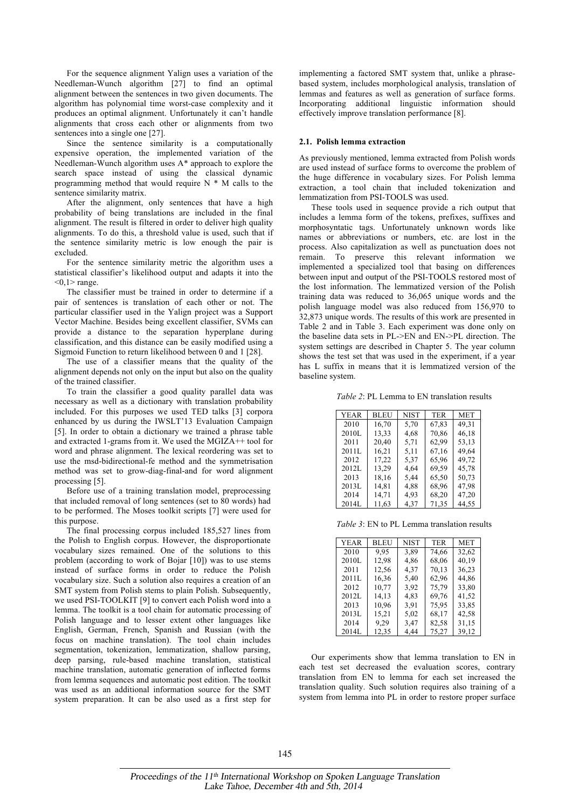For the sequence alignment Yalign uses a variation of the Needleman-Wunch algorithm [27] to find an optimal alignment between the sentences in two given documents. The algorithm has polynomial time worst-case complexity and it produces an optimal alignment. Unfortunately it can't handle alignments that cross each other or alignments from two sentences into a single one [27].

Since the sentence similarity is a computationally expensive operation, the implemented variation of the Needleman-Wunch algorithm uses A\* approach to explore the search space instead of using the classical dynamic programming method that would require  $N * M$  calls to the sentence similarity matrix.

After the alignment, only sentences that have a high probability of being translations are included in the final alignment. The result is filtered in order to deliver high quality alignments. To do this, a threshold value is used, such that if the sentence similarity metric is low enough the pair is excluded.

For the sentence similarity metric the algorithm uses a statistical classifier's likelihood output and adapts it into the  $< 0.1$  range.

The classifier must be trained in order to determine if a pair of sentences is translation of each other or not. The particular classifier used in the Yalign project was a Support Vector Machine. Besides being excellent classifier, SVMs can provide a distance to the separation hyperplane during classification, and this distance can be easily modified using a Sigmoid Function to return likelihood between 0 and 1 [28].

The use of a classifier means that the quality of the alignment depends not only on the input but also on the quality of the trained classifier.

To train the classifier a good quality parallel data was necessary as well as a dictionary with translation probability included. For this purposes we used TED talks [3] corpora enhanced by us during the IWSLT'13 Evaluation Campaign [5]. In order to obtain a dictionary we trained a phrase table and extracted 1-grams from it. We used the MGIZA++ tool for word and phrase alignment. The lexical reordering was set to use the msd-bidirectional-fe method and the symmetrisation method was set to grow-diag-final-and for word alignment processing [5].

Before use of a training translation model, preprocessing that included removal of long sentences (set to 80 words) had to be performed. The Moses toolkit scripts [7] were used for this purpose.

The final processing corpus included 185,527 lines from the Polish to English corpus. However, the disproportionate vocabulary sizes remained. One of the solutions to this problem (according to work of Bojar [10]) was to use stems instead of surface forms in order to reduce the Polish vocabulary size. Such a solution also requires a creation of an SMT system from Polish stems to plain Polish, Subsequently, we used PSI-TOOLKIT [9] to convert each Polish word into a lemma. The toolkit is a tool chain for automatic processing of Polish language and to lesser extent other languages like English, German, French, Spanish and Russian (with the focus on machine translation). The tool chain includes segmentation, tokenization, lemmatization, shallow parsing, deep parsing, rule-based machine translation, statistical machine translation, automatic generation of inflected forms from lemma sequences and automatic post edition. The toolkit was used as an additional information source for the SMT system preparation. It can be also used as a first step for

implementing a factored SMT system that, unlike a phrasebased system, includes morphological analysis, translation of lemmas and features as well as generation of surface forms. Incorporating additional linguistic information should effectively improve translation performance [8].

#### **2.1. Polish lemma extraction**

As previously mentioned, lemma extracted from Polish words are used instead of surface forms to overcome the problem of the huge difference in vocabulary sizes. For Polish lemma extraction, a tool chain that included tokenization and lemmatization from PSI-TOOLS was used.

These tools used in sequence provide a rich output that includes a lemma form of the tokens, prefixes, suffixes and morphosyntatic tags. Unfortunately unknown words like names or abbreviations or numbers, etc. are lost in the process. Also capitalization as well as punctuation does not remain. To preserve this relevant information we implemented a specialized tool that basing on differences between input and output of the PSI-TOOLS restored most of the lost information. The lemmatized version of the Polish training data was reduced to 36,065 unique words and the polish language model was also reduced from 156,970 to 32,873 unique words. The results of this work are presented in Table 2 and in Table 3. Each experiment was done only on the baseline data sets in PL->EN and EN->PL direction. The system settings are described in Chapter 5. The year column shows the test set that was used in the experiment, if a year has L suffix in means that it is lemmatized version of the baseline system.

*Table 2*: PL Lemma to EN translation results

| YEAR  | BLEU  | <b>NIST</b> | <b>TER</b> | MET   |
|-------|-------|-------------|------------|-------|
| 2010  | 16,70 | 5,70        | 67,83      | 49.31 |
| 2010L | 13,33 | 4,68        | 70,86      | 46,18 |
| 2011  | 20,40 | 5.71        | 62,99      | 53,13 |
| 2011L | 16,21 | 5,11        | 67,16      | 49,64 |
| 2012  | 17,22 | 5,37        | 65,96      | 49,72 |
| 2012L | 13,29 | 4,64        | 69,59      | 45,78 |
| 2013  | 18,16 | 5,44        | 65,50      | 50,73 |
| 2013L | 14,81 | 4,88        | 68,96      | 47,98 |
| 2014  | 14,71 | 4,93        | 68,20      | 47,20 |
| 2014L | 11,63 | 4,37        | 71,35      | 44,55 |

*Table 3*: EN to PL Lemma translation results

| YEAR  | BLEU  | <b>NIST</b> | <b>TER</b> | MET   |
|-------|-------|-------------|------------|-------|
| 2010  | 9.95  | 3.89        | 74,66      | 32,62 |
| 2010L | 12,98 | 4,86        | 68,06      | 40,19 |
| 2011  | 12,56 | 4.37        | 70,13      | 36,23 |
| 2011L | 16,36 | 5,40        | 62,96      | 44,86 |
| 2012  | 10,77 | 3.92        | 75,79      | 33,80 |
| 2012L | 14,13 | 4.83        | 69,76      | 41,52 |
| 2013  | 10,96 | 3.91        | 75,95      | 33,85 |
| 2013L | 15,21 | 5,02        | 68,17      | 42,58 |
| 2014  | 9,29  | 3.47        | 82,58      | 31,15 |
| 2014L | 12,35 | 4.44        | 75,27      | 39.12 |

Our experiments show that lemma translation to EN in each test set decreased the evaluation scores, contrary translation from EN to lemma for each set increased the translation quality. Such solution requires also training of a system from lemma into PL in order to restore proper surface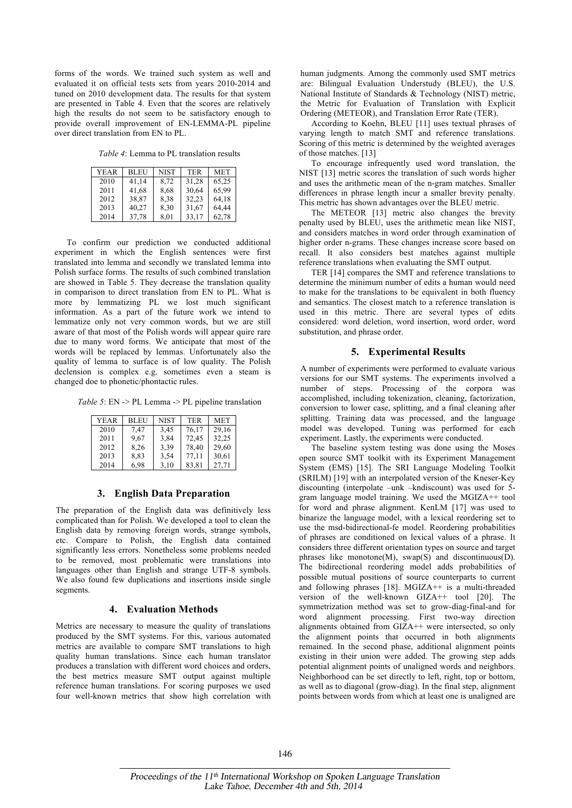forms of the words. We trained such system as well and evaluated it on official tests sets from years 2010-2014 and tuned on 2010 development data. The results for that system are presented in Table 4. Even that the scores are relatively high the results do not seem to be satisfactory enough to provide overall improvement of EN-LEMMA-PL pipeline over direct translation from EN to PL.

*Table 4*: Lemma to PL translation results

| YEAR | <b>BLEU</b> | NIST | <b>TER</b> | <b>MET</b> |
|------|-------------|------|------------|------------|
| 2010 | 41,14       | 8,72 | 31,28      | 65,25      |
| 2011 | 41,68       | 8,68 | 30,64      | 65,99      |
| 2012 | 38,87       | 8.38 | 32,23      | 64,18      |
| 2013 | 40,27       | 8,30 | 31,67      | 64,44      |
| 2014 | 37,78       | 8,01 | 33,17      | 62,78      |

To confirm our prediction we conducted additional experiment in which the English sentences were first translated into lemma and secondly we translated lemma into Polish surface forms. The results of such combined translation are showed in Table 5. They decrease the translation quality in comparison to direct translation from EN to PL. What is more by lemmatizing PL we lost much significant information. As a part of the future work we intend to lemmatize only not very common words, but we are still aware of that most of the Polish words will appear quire rare due to many word forms. We anticipate that most of the words will be replaced by lemmas. Unfortunately also the quality of lemma to surface is of low quality. The Polish declension is complex e.g. sometimes even a steam is changed doe to phonetic/phontactic rules.

*Table 5*: EN -> PL Lemma -> PL pipeline translation

| YEAR | <b>BLEU</b> | <b>NIST</b> | <b>TER</b> | <b>MET</b> |
|------|-------------|-------------|------------|------------|
| 2010 | 7.47        | 3,45        | 76,17      | 29,16      |
| 2011 | 9.67        | 3,84        | 72,45      | 32,25      |
| 2012 | 8,26        | 3,39        | 78,40      | 29,60      |
| 2013 | 8.83        | 3,54        | 77.11      | 30,61      |
| 2014 | 6.98        | 3,10        | 83,81      | 27,71      |

## **3. English Data Preparation**

The preparation of the English data was definitively less complicated than for Polish. We developed a tool to clean the English data by removing foreign words, strange symbols, etc. Compare to Polish, the English data contained significantly less errors. Nonetheless some problems needed to be removed, most problematic were translations into languages other than English and strange UTF-8 symbols. We also found few duplications and insertions inside single segments.

# **4. Evaluation Methods**

Metrics are necessary to measure the quality of translations produced by the SMT systems. For this, various automated metrics are available to compare SMT translations to high quality human translations. Since each human translator produces a translation with different word choices and orders, the best metrics measure SMT output against multiple reference human translations. For scoring purposes we used four well-known metrics that show high correlation with human judgments. Among the commonly used SMT metrics are: Bilingual Evaluation Understudy (BLEU), the U.S. National Institute of Standards & Technology (NIST) metric, the Metric for Evaluation of Translation with Explicit Ordering (METEOR), and Translation Error Rate (TER).

According to Koehn, BLEU [11] uses textual phrases of varying length to match SMT and reference translations. Scoring of this metric is determined by the weighted averages of those matches. [13]

To encourage infrequently used word translation, the NIST [13] metric scores the translation of such words higher and uses the arithmetic mean of the n-gram matches. Smaller differences in phrase length incur a smaller brevity penalty. This metric has shown advantages over the BLEU metric.

The METEOR [13] metric also changes the brevity penalty used by BLEU, uses the arithmetic mean like NIST, and considers matches in word order through examination of higher order n-grams. These changes increase score based on recall. It also considers best matches against multiple reference translations when evaluating the SMT output.

TER [14] compares the SMT and reference translations to determine the minimum number of edits a human would need to make for the translations to be equivalent in both fluency and semantics. The closest match to a reference translation is used in this metric. There are several types of edits considered: word deletion, word insertion, word order, word substitution, and phrase order.

# **5. Experimental Results**

A number of experiments were performed to evaluate various versions for our SMT systems. The experiments involved a number of steps. Processing of the corpora was accomplished, including tokenization, cleaning, factorization, conversion to lower case, splitting, and a final cleaning after splitting. Training data was processed, and the language model was developed. Tuning was performed for each experiment. Lastly, the experiments were conducted.

The baseline system testing was done using the Moses open source SMT toolkit with its Experiment Management System (EMS) [15]. The SRI Language Modeling Toolkit (SRILM) [19] with an interpolated version of the Kneser-Key discounting (interpolate –unk –kndiscount) was used for 5 gram language model training. We used the MGIZA++ tool for word and phrase alignment. KenLM [17] was used to binarize the language model, with a lexical reordering set to use the msd-bidirectional-fe model. Reordering probabilities of phrases are conditioned on lexical values of a phrase. It considers three different orientation types on source and target phrases like monotone(M), swap(S) and discontinuous(D). The bidirectional reordering model adds probabilities of possible mutual positions of source counterparts to current and following phrases [18]. MGIZA++ is a multi-threaded version of the well-known GIZA++ tool [20]. The symmetrization method was set to grow-diag-final-and for word alignment processing. First two-way direction alignments obtained from GIZA++ were intersected, so only the alignment points that occurred in both alignments remained. In the second phase, additional alignment points existing in their union were added. The growing step adds potential alignment points of unaligned words and neighbors. Neighborhood can be set directly to left, right, top or bottom, as well as to diagonal (grow-diag). In the final step, alignment points between words from which at least one is unaligned are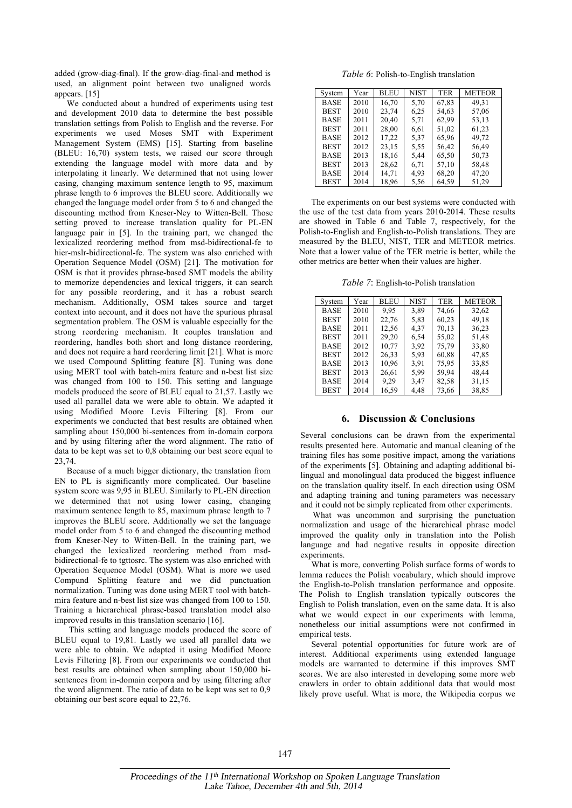added (grow-diag-final). If the grow-diag-final-and method is used, an alignment point between two unaligned words appears. [15]

We conducted about a hundred of experiments using test and development 2010 data to determine the best possible translation settings from Polish to English and the reverse. For experiments we used Moses SMT with Experiment Management System (EMS) [15]. Starting from baseline (BLEU: 16,70) system tests, we raised our score through extending the language model with more data and by interpolating it linearly. We determined that not using lower casing, changing maximum sentence length to 95, maximum phrase length to 6 improves the BLEU score. Additionally we changed the language model order from 5 to 6 and changed the discounting method from Kneser-Ney to Witten-Bell. Those setting proved to increase translation quality for PL-EN language pair in [5]. In the training part, we changed the lexicalized reordering method from msd-bidirectional-fe to hier-mslr-bidirectional-fe. The system was also enriched with Operation Sequence Model (OSM) [21]. The motivation for OSM is that it provides phrase-based SMT models the ability to memorize dependencies and lexical triggers, it can search for any possible reordering, and it has a robust search mechanism. Additionally, OSM takes source and target context into account, and it does not have the spurious phrasal segmentation problem. The OSM is valuable especially for the strong reordering mechanism. It couples translation and reordering, handles both short and long distance reordering, and does not require a hard reordering limit [21]. What is more we used Compound Splitting feature [8]. Tuning was done using MERT tool with batch-mira feature and n-best list size was changed from 100 to 150. This setting and language models produced the score of BLEU equal to 21,57. Lastly we used all parallel data we were able to obtain. We adapted it using Modified Moore Levis Filtering [8]. From our experiments we conducted that best results are obtained when sampling about 150,000 bi-sentences from in-domain corpora and by using filtering after the word alignment. The ratio of data to be kept was set to 0,8 obtaining our best score equal to 23,74.

Because of a much bigger dictionary, the translation from EN to PL is significantly more complicated. Our baseline system score was 9,95 in BLEU. Similarly to PL-EN direction we determined that not using lower casing, changing maximum sentence length to 85, maximum phrase length to 7 improves the BLEU score. Additionally we set the language model order from 5 to 6 and changed the discounting method from Kneser-Ney to Witten-Bell. In the training part, we changed the lexicalized reordering method from msdbidirectional-fe to tgttosrc. The system was also enriched with Operation Sequence Model (OSM). What is more we used Compund Splitting feature and we did punctuation normalization. Tuning was done using MERT tool with batchmira feature and n-best list size was changed from 100 to 150. Training a hierarchical phrase-based translation model also improved results in this translation scenario [16].

This setting and language models produced the score of BLEU equal to 19,81. Lastly we used all parallel data we were able to obtain. We adapted it using Modified Moore Levis Filtering [8]. From our experiments we conducted that best results are obtained when sampling about 150,000 bisentences from in-domain corpora and by using filtering after the word alignment. The ratio of data to be kept was set to 0,9 obtaining our best score equal to 22,76.

*Table 6*: Polish-to-English translation

| System      | Year | <b>BLEU</b> | <b>NIST</b> | <b>TER</b> | <b>METEOR</b> |
|-------------|------|-------------|-------------|------------|---------------|
| <b>BASE</b> | 2010 | 16,70       | 5,70        | 67,83      | 49,31         |
| <b>BEST</b> | 2010 | 23,74       | 6,25        | 54,63      | 57,06         |
| <b>BASE</b> | 2011 | 20,40       | 5,71        | 62,99      | 53,13         |
| <b>BEST</b> | 2011 | 28,00       | 6,61        | 51,02      | 61,23         |
| <b>BASE</b> | 2012 | 17,22       | 5,37        | 65,96      | 49,72         |
| <b>BEST</b> | 2012 | 23,15       | 5.55        | 56,42      | 56,49         |
| <b>BASE</b> | 2013 | 18,16       | 5,44        | 65,50      | 50,73         |
| <b>BEST</b> | 2013 | 28,62       | 6,71        | 57,10      | 58,48         |
| <b>BASE</b> | 2014 | 14,71       | 4.93        | 68,20      | 47,20         |
| <b>BEST</b> | 2014 | 18.96       | 5,56        | 64,59      | 51,29         |

The experiments on our best systems were conducted with the use of the test data from years 2010-2014. These results are showed in Table 6 and Table 7, respectively, for the Polish-to-English and English-to-Polish translations. They are measured by the BLEU, NIST, TER and METEOR metrics. Note that a lower value of the TER metric is better, while the other metrics are better when their values are higher.

*Table 7*: English-to-Polish translation

| System      | Year | <b>BLEU</b> | <b>NIST</b> | <b>TER</b> | <b>METEOR</b> |
|-------------|------|-------------|-------------|------------|---------------|
| <b>BASE</b> | 2010 | 9.95        | 3,89        | 74,66      | 32,62         |
| <b>BEST</b> | 2010 | 22,76       | 5,83        | 60,23      | 49,18         |
| <b>BASE</b> | 2011 | 12,56       | 4,37        | 70,13      | 36,23         |
| <b>BEST</b> | 2011 | 29,20       | 6,54        | 55,02      | 51,48         |
| <b>BASE</b> | 2012 | 10,77       | 3.92        | 75,79      | 33,80         |
| <b>BEST</b> | 2012 | 26,33       | 5,93        | 60,88      | 47,85         |
| <b>BASE</b> | 2013 | 10,96       | 3.91        | 75,95      | 33,85         |
| <b>BEST</b> | 2013 | 26,61       | 5.99        | 59,94      | 48,44         |
| BASE        | 2014 | 9.29        | 3,47        | 82,58      | 31,15         |
| <b>BEST</b> | 2014 | 16,59       | 4,48        | 73,66      | 38.85         |

## **6. Discussion & Conclusions**

Several conclusions can be drawn from the experimental results presented here. Automatic and manual cleaning of the training files has some positive impact, among the variations of the experiments [5]. Obtaining and adapting additional bilingual and monolingual data produced the biggest influence on the translation quality itself. In each direction using OSM and adapting training and tuning parameters was necessary and it could not be simply replicated from other experiments.

What was uncommon and surprising the punctuation normalization and usage of the hierarchical phrase model improved the quality only in translation into the Polish language and had negative results in opposite direction experiments.

What is more, converting Polish surface forms of words to lemma reduces the Polish vocabulary, which should improve the English-to-Polish translation performance and opposite. The Polish to English translation typically outscores the English to Polish translation, even on the same data. It is also what we would expect in our experiments with lemma, nonetheless our initial assumptions were not confirmed in empirical tests.

Several potential opportunities for future work are of interest. Additional experiments using extended language models are warranted to determine if this improves SMT scores. We are also interested in developing some more web crawlers in order to obtain additional data that would most likely prove useful. What is more, the Wikipedia corpus we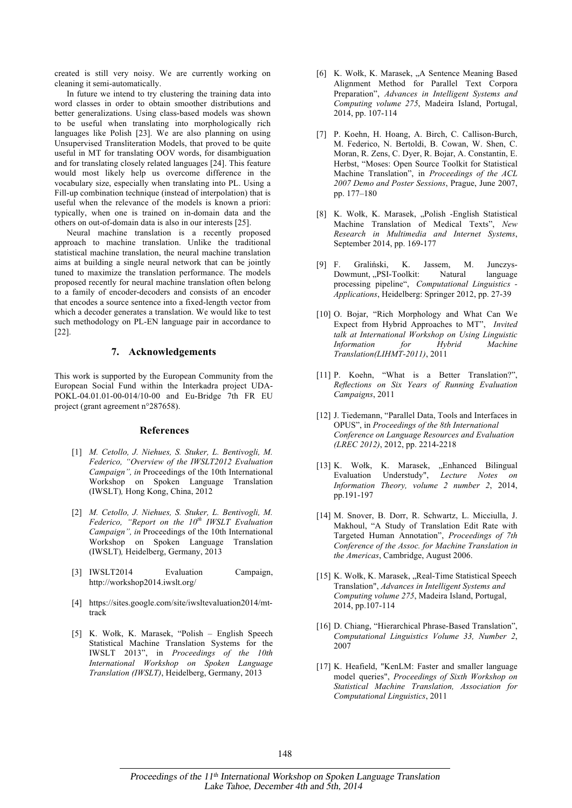created is still very noisy. We are currently working on cleaning it semi-automatically.

In future we intend to try clustering the training data into word classes in order to obtain smoother distributions and better generalizations. Using class-based models was shown to be useful when translating into morphologically rich languages like Polish [23]. We are also planning on using Unsupervised Transliteration Models, that proved to be quite useful in MT for translating OOV words, for disambiguation and for translating closely related languages [24]. This feature would most likely help us overcome difference in the vocabulary size, especially when translating into PL. Using a Fill-up combination technique (instead of interpolation) that is useful when the relevance of the models is known a priori: typically, when one is trained on in-domain data and the others on out-of-domain data is also in our interests [25].

Neural machine translation is a recently proposed approach to machine translation. Unlike the traditional statistical machine translation, the neural machine translation aims at building a single neural network that can be jointly tuned to maximize the translation performance. The models proposed recently for neural machine translation often belong to a family of encoder-decoders and consists of an encoder that encodes a source sentence into a fixed-length vector from which a decoder generates a translation. We would like to test such methodology on PL-EN language pair in accordance to [22].

## **7. Acknowledgements**

This work is supported by the European Community from the European Social Fund within the Interkadra project UDA-POKL-04.01.01-00-014/10-00 and Eu-Bridge 7th FR EU project (grant agreement n°287658).

#### **References**

- [1] *M. Cetollo, J. Niehues, S. Stuker, L. Bentivogli, M. Federico, "Overview of the IWSLT2012 Evaluation Campaign", in* Proceedings of the 10th International Workshop on Spoken Language Translation (IWSLT)*,* Hong Kong, China, 2012
- [2] *M. Cetollo, J. Niehues, S. Stuker, L. Bentivogli, M. Federico, "Report on the 10th IWSLT Evaluation Campaign", in* Proceedings of the 10th International Workshop on Spoken Language Translation (IWSLT)*,* Heidelberg, Germany, 2013
- [3] IWSLT2014 Evaluation Campaign, http://workshop2014.iwslt.org/
- [4] https://sites.google.com/site/iwsltevaluation2014/mttrack
- [5] K. Wołk, K. Marasek, "Polish English Speech Statistical Machine Translation Systems for the IWSLT 2013", in *Proceedings of the 10th International Workshop on Spoken Language Translation (IWSLT)*, Heidelberg, Germany, 2013
- [6] K. Wołk, K. Marasek, "A Sentence Meaning Based Alignment Method for Parallel Text Corpora Preparation", *Advances in Intelligent Systems and Computing volume 275*, Madeira Island, Portugal, 2014, pp. 107-114
- [7] P. Koehn, H. Hoang, A. Birch, C. Callison-Burch, M. Federico, N. Bertoldi, B. Cowan, W. Shen, C. Moran, R. Zens, C. Dyer, R. Bojar, A. Constantin, E. Herbst, "Moses: Open Source Toolkit for Statistical Machine Translation", in *Proceedings of the ACL 2007 Demo and Poster Sessions*, Prague, June 2007, pp. 177–180
- [8] K. Wołk, K. Marasek, "Polish -English Statistical Machine Translation of Medical Texts", *New Research in Multimedia and Internet Systems*, September 2014, pp. 169-177
- [9] F. Graliński, K. Jassem, M. Junczys-Dowmunt, "PSI-Toolkit: Natural language processing pipeline", *Computational Linguistics - Applications*, Heidelberg: Springer 2012, pp. 27-39
- [10] O. Bojar, "Rich Morphology and What Can We Expect from Hybrid Approaches to MT", *Invited talk at International Workshop on Using Linguistic Information for Hybrid Machine Translation(LIHMT-2011)*, 2011
- [11] P. Koehn, "What is a Better Translation?", *Reflections on Six Years of Running Evaluation Campaigns*, 2011
- [12] J. Tiedemann, "Parallel Data, Tools and Interfaces in OPUS", in *Proceedings of the 8th International Conference on Language Resources and Evaluation (LREC 2012)*, 2012, pp. 2214-2218
- [13] K. Wołk, K. Marasek, "Enhanced Bilingual Evaluation Understudy", *Lecture Notes on Information Theory, volume 2 number 2*, 2014, pp.191-197
- [14] M. Snover, B. Dorr, R. Schwartz, L. Micciulla, J. Makhoul, "A Study of Translation Edit Rate with Targeted Human Annotation", *Proceedings of 7th Conference of the Assoc. for Machine Translation in the Americas*, Cambridge, August 2006.
- [15] K. Wołk, K. Marasek, "Real-Time Statistical Speech Translation", *Advances in Intelligent Systems and Computing volume 275*, Madeira Island, Portugal, 2014, pp.107-114
- [16] D. Chiang, "Hierarchical Phrase-Based Translation", *Computational Linguistics Volume 33, Number 2*, 2007
- [17] K. Heafield, "KenLM: Faster and smaller language model queries", *Proceedings of Sixth Workshop on Statistical Machine Translation, Association for Computational Linguistics*, 2011